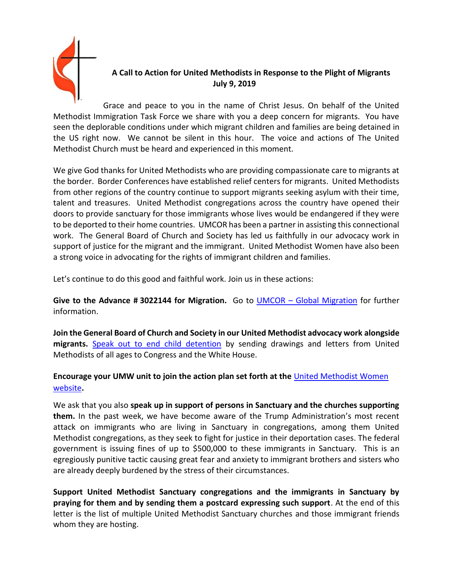

## **A Call to Action for United Methodists in Response to the Plight of Migrants July 9, 2019**

Grace and peace to you in the name of Christ Jesus. On behalf of the United Methodist Immigration Task Force we share with you a deep concern for migrants. You have seen the deplorable conditions under which migrant children and families are being detained in the US right now. We cannot be silent in this hour. The voice and actions of The United Methodist Church must be heard and experienced in this moment.

We give God thanks for United Methodists who are providing compassionate care to migrants at the border. Border Conferences have established relief centers for migrants. United Methodists from other regions of the country continue to support migrants seeking asylum with their time, talent and treasures. United Methodist congregations across the country have opened their doors to provide sanctuary for those immigrants whose lives would be endangered if they were to be deported to their home countries. UMCOR has been a partner in assisting this connectional work. The General Board of Church and Society has led us faithfully in our advocacy work in support of justice for the migrant and the immigrant. United Methodist Women have also been a strong voice in advocating for the rights of immigrant children and families.

Let's continue to do this good and faithful work. Join us in these actions:

**Give to the Advance # 3022144 for Migration.** Go to UMCOR – [Global Migration](https://www.umcmission.org/umcor/learn/our-work/migration) for further information.

**Join the General Board of Church and Society in our United Methodist advocacy work alongside migrants.** [Speak out to end child detention](https://www.umcjustice.org/news-and-stories/what-you-can-do-right-now-to-end-child-detention-859) by sending drawings and letters from United Methodists of all ages to Congress and the White House.

## **Encourage your UMW unit to join the action plan set forth at the** [United Methodist Women](https://www.unitedmethodistwomen.org/news/united-methodist-women-statement-demanding-an-end)  [website](https://www.unitedmethodistwomen.org/news/united-methodist-women-statement-demanding-an-end)**.**

We ask that you also **speak up in support of persons in Sanctuary and the churches supporting them.** In the past week, we have become aware of the Trump Administration's most recent attack on immigrants who are living in Sanctuary in congregations, among them United Methodist congregations, as they seek to fight for justice in their deportation cases. The federal government is issuing fines of up to \$500,000 to these immigrants in Sanctuary. This is an egregiously punitive tactic causing great fear and anxiety to immigrant brothers and sisters who are already deeply burdened by the stress of their circumstances.

**Support United Methodist Sanctuary congregations and the immigrants in Sanctuary by praying for them and by sending them a postcard expressing such support**. At the end of this letter is the list of multiple United Methodist Sanctuary churches and those immigrant friends whom they are hosting.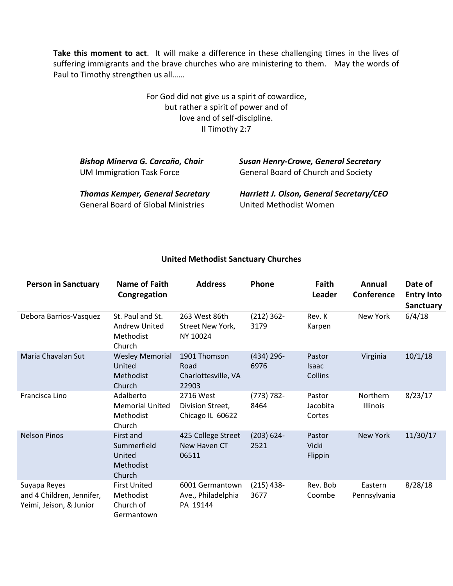**Take this moment to act**. It will make a difference in these challenging times in the lives of suffering immigrants and the brave churches who are ministering to them. May the words of Paul to Timothy strengthen us all……

> For God did not give us a spirit of cowardice, but rather a spirit of power and of love and of self-discipline. II Timothy 2:7

| Bishop Minerva G. Carcaño, Chair<br><b>UM Immigration Task Force</b> | <b>Susan Henry-Crowe, General Secretary</b><br><b>General Board of Church and Society</b> |  |  |  |  |
|----------------------------------------------------------------------|-------------------------------------------------------------------------------------------|--|--|--|--|
| <b>Thomas Kemper, General Secretary</b>                              | Harriett J. Olson, General Secretary/CEO                                                  |  |  |  |  |
| <b>General Board of Global Ministries</b>                            | United Methodist Women                                                                    |  |  |  |  |

## **United Methodist Sanctuary Churches**

| <b>Person in Sanctuary</b>                                           | <b>Name of Faith</b><br>Congregation                            | <b>Address</b>                                       | Phone                 | Faith<br>Leader                   | Annual<br>Conference    | Date of<br><b>Entry Into</b><br><b>Sanctuary</b> |
|----------------------------------------------------------------------|-----------------------------------------------------------------|------------------------------------------------------|-----------------------|-----------------------------------|-------------------------|--------------------------------------------------|
| Debora Barrios-Vasquez                                               | St. Paul and St.<br><b>Andrew United</b><br>Methodist<br>Church | 263 West 86th<br>Street New York,<br>NY 10024        | $(212)$ 362-<br>3179  | Rev. K<br>Karpen                  | New York                | 6/4/18                                           |
| Maria Chavalan Sut                                                   | <b>Wesley Memorial</b><br>United<br>Methodist<br>Church         | 1901 Thomson<br>Road<br>Charlottesville, VA<br>22903 | $(434)$ 296-<br>6976  | Pastor<br><b>Isaac</b><br>Collins | Virginia                | 10/1/18                                          |
| Francisca Lino                                                       | Adalberto<br><b>Memorial United</b><br>Methodist<br>Church      | 2716 West<br>Division Street,<br>Chicago IL 60622    | $(773) 782 -$<br>8464 | Pastor<br>Jacobita<br>Cortes      | Northern<br>Illinois    | 8/23/17                                          |
| <b>Nelson Pinos</b>                                                  | First and<br>Summerfield<br>United<br>Methodist<br>Church       | 425 College Street<br>New Haven CT<br>06511          | $(203) 624 -$<br>2521 | Pastor<br><b>Vicki</b><br>Flippin | <b>New York</b>         | 11/30/17                                         |
| Suyapa Reyes<br>and 4 Children, Jennifer,<br>Yeimi, Jeison, & Junior | <b>First United</b><br>Methodist<br>Church of<br>Germantown     | 6001 Germantown<br>Ave., Philadelphia<br>PA 19144    | $(215)$ 438-<br>3677  | Rev. Bob<br>Coombe                | Eastern<br>Pennsylvania | 8/28/18                                          |